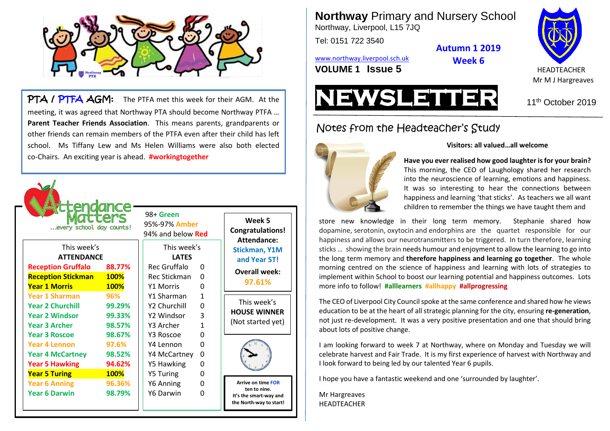

PTA / PTFA AGM: The PTFA met this week for their AGM. At the meeting, it was agreed that Northway PTA should become Northway PTFA … **Parent Teacher Friends Association**. This means parents, grandparents or other friends can remain members of the PTFA even after their child has left school. Ms Tiffany Lew and Ms Helen Williams were also both elected co-Chairs. An exciting year is ahead. **#workingtogether**

| ttend<br>every school day counts!                                                                 | ance<br>ers:                         | 98+ Green<br>95%-97% Amber<br>94% and below Red       |                                        | Week 5<br><b>Congratulations!</b><br>Attendance:                                               |
|---------------------------------------------------------------------------------------------------|--------------------------------------|-------------------------------------------------------|----------------------------------------|------------------------------------------------------------------------------------------------|
| This week's<br><b>ATTENDANCE</b>                                                                  |                                      | This week's<br><b>LATES</b>                           |                                        | <b>Stickman, Y1M</b><br>and Year 5T!                                                           |
| <b>Reception Gruffalo</b><br><b>Reception Stickman</b><br><b>Year 1 Morris</b>                    | 88.77%<br><b>100%</b><br><b>100%</b> | Rec Gruffalo<br>Rec Stickman<br><b>Y1 Morris</b>      | $\Omega$<br>0<br>0                     | <b>Overall week:</b><br>97.61%                                                                 |
| <b>Year 1 Sharman</b><br><b>Year 2 Churchill</b><br><b>Year 2 Windsor</b><br><b>Year 3 Archer</b> | 96%<br>99.29%<br>99.33%<br>98.57%    | Y1 Sharman<br>Y2 Churchill<br>Y2 Windsor<br>Y3 Archer | $\mathbf{1}$<br>0<br>3<br>$\mathbf{1}$ | This week's<br><b>HOUSE WINNER</b><br>(Not started yet)                                        |
| <b>Year 3 Roscoe</b><br><b>Year 4 Lennon</b><br><b>Year 4 McCartney</b><br><b>Year 5 Hawking</b>  | 98.67%<br>97.6%<br>98.52%<br>94.62%  | Y3 Roscoe<br>Y4 Lennon<br>Y4 McCartney<br>Y5 Hawking  | 0<br>0<br>0<br>0                       |                                                                                                |
| <b>Year 5 Turing</b><br><b>Year 6 Anning</b><br><b>Year 6 Darwin</b>                              | <b>100%</b><br>96.36%<br>98.79%      | <b>Y5 Turing</b><br>Y6 Anning<br>Y6 Darwin            | 0<br>$\Omega$<br>$\Omega$              | <b>Arrive on time FOR</b><br>ten to nine.<br>It's the smart-way and<br>the North-way to start! |

**Northway** Primary and Nursery School Northway, Liverpool, L15 7JQ

Tel: 0151 722 3540

**Autumn 1 2019**

[www.northway.liverpool.sch.uk](http://www.northway.liverpool.sch.uk/)

**Week 6**

**VOLUME 1 ISSUE 5** HEADTEACHER







**Visitors: all valued…all welcome**

**Have you ever realised how good laughter is for your brain?** This morning, the CEO of Laughology shared her research into the neuroscience of learning, emotions and happiness. It was so interesting to hear the connections between happiness and learning 'that sticks'. As teachers we all want children to remember the things we have taught them and

store new knowledge in their long term memory. Stephanie shared how dopamine, serotonin, oxytocin and endorphins are the quartet responsible for our happiness and allows our neurotransmitters to be triggered. In turn therefore, learning sticks … showing the brain needs humour and enjoyment to allow the learning to go into the long term memory and **therefore happiness and learning go together**. The whole morning centred on the science of happiness and learning with lots of strategies to implement within School to boost our learning potential and happiness outcomes. Lots more info to follow! **#alllearners #allhappy #allprogressing**

The CEO of Liverpool City Council spoke at the same conference and shared how he views education to be at the heart of all strategic planning for the city, ensuring **re-generation**, not just re-development. It was a very positive presentation and one that should bring about lots of positive change.

I am looking forward to week 7 at Northway, where on Monday and Tuesday we will celebrate harvest and Fair Trade. It is my first experience of harvest with Northway and I look forward to being led by our talented Year 6 pupils.

I hope you have a fantastic weekend and one 'surrounded by laughter'.

Mr Hargreaves HEADTEACHER